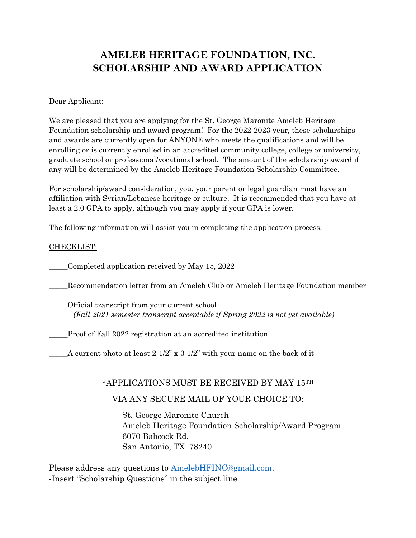# **AMELEB HERITAGE FOUNDATION, INC. SCHOLARSHIP AND AWARD APPLICATION**

#### Dear Applicant:

We are pleased that you are applying for the St. George Maronite Ameleb Heritage Foundation scholarship and award program! For the 2022-2023 year, these scholarships and awards are currently open for ANYONE who meets the qualifications and will be enrolling or is currently enrolled in an accredited community college, college or university, graduate school or professional/vocational school. The amount of the scholarship award if any will be determined by the Ameleb Heritage Foundation Scholarship Committee.

For scholarship/award consideration, you, your parent or legal guardian must have an affiliation with Syrian/Lebanese heritage or culture. It is recommended that you have at least a 2.0 GPA to apply, although you may apply if your GPA is lower.

The following information will assist you in completing the application process.

#### CHECKLIST:

\_\_\_\_\_Completed application received by May 15, 2022

\_\_\_\_\_Recommendation letter from an Ameleb Club or Ameleb Heritage Foundation member

\_\_\_\_\_Official transcript from your current school *(Fall 2021 semester transcript acceptable if Spring 2022 is not yet available)* 

\_\_\_\_\_Proof of Fall 2022 registration at an accredited institution

 $\Delta$  current photo at least 2-1/2" x 3-1/2" with your name on the back of it

#### \*APPLICATIONS MUST BE RECEIVED BY MAY 15TH

#### VIA ANY SECURE MAIL OF YOUR CHOICE TO:

St. George Maronite Church Ameleb Heritage Foundation Scholarship/Award Program 6070 Babcock Rd. San Antonio, TX 78240

Please address any questions to [AmelebHFINC@gmail.com.](mailto:AmelebHFINC@gmail.com) -Insert "Scholarship Questions" in the subject line.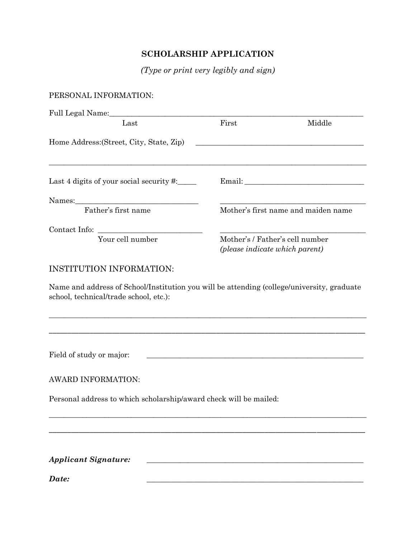## **SCHOLARSHIP APPLICATION**

*(Type or print very legibly and sign)*

### PERSONAL INFORMATION:

| Last                                                              | First                                                             | Middle                              |
|-------------------------------------------------------------------|-------------------------------------------------------------------|-------------------------------------|
| Home Address: (Street, City, State, Zip)                          |                                                                   |                                     |
| Last 4 digits of your social security $\#$ :                      |                                                                   |                                     |
|                                                                   |                                                                   |                                     |
| Father's first name                                               |                                                                   | Mother's first name and maiden name |
|                                                                   |                                                                   |                                     |
| Your cell number                                                  | Mother's / Father's cell number<br>(please indicate which parent) |                                     |
| <b>INSTITUTION INFORMATION:</b>                                   |                                                                   |                                     |
| school, technical/trade school, etc.):                            |                                                                   |                                     |
| Field of study or major:                                          | <u> 1989 - Johann Stoff, amerikansk politiker (* 1908)</u>        |                                     |
| AWARD INFORMATION:                                                |                                                                   |                                     |
| Personal address to which scholarship/award check will be mailed: |                                                                   |                                     |
|                                                                   |                                                                   |                                     |
|                                                                   |                                                                   |                                     |
|                                                                   |                                                                   |                                     |
| <b>Applicant Signature:</b>                                       |                                                                   |                                     |

*Date: \_\_\_\_\_\_\_\_\_\_\_\_\_\_\_\_\_\_\_\_\_\_\_\_\_\_\_\_\_\_\_\_\_\_\_\_\_\_\_\_\_\_\_\_\_\_\_\_\_\_\_\_\_\_\_\_\_\_*